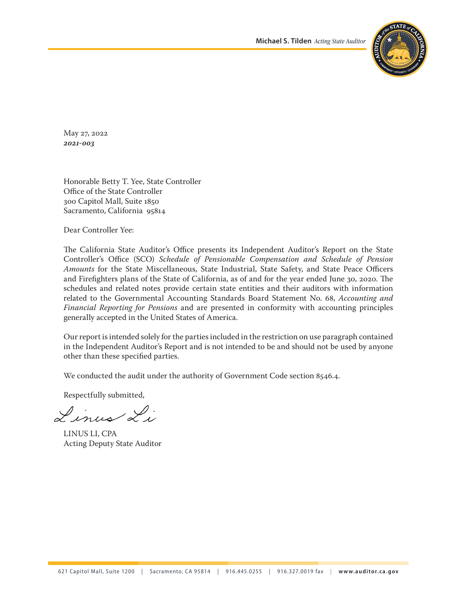

May 27, 2022 *2021‑003*

Honorable Betty T. Yee, State Controller Office of the State Controller 300 Capitol Mall, Suite 1850 Sacramento, California 95814

Dear Controller Yee:

The California State Auditor's Office presents its Independent Auditor's Report on the State Controller's Office (SCO) *Schedule of Pensionable Compensation and Schedule of Pension Amounts* for the State Miscellaneous, State Industrial, State Safety, and State Peace Officers and Firefighters plans of the State of California, as of and for the year ended June 30, 2020. The schedules and related notes provide certain state entities and their auditors with information related to the Governmental Accounting Standards Board Statement No. 68, *Accounting and Financial Reporting for Pensions* and are presented in conformity with accounting principles generally accepted in the United States of America.

Our report is intended solely for the parties included in the restriction on use paragraph contained in the Independent Auditor's Report and is not intended to be and should not be used by anyone other than these specified parties.

We conducted the audit under the authority of Government Code section 8546.4.

Respectfully submitted,

Linus Li

LINUS LI, CPA Acting Deputy State Auditor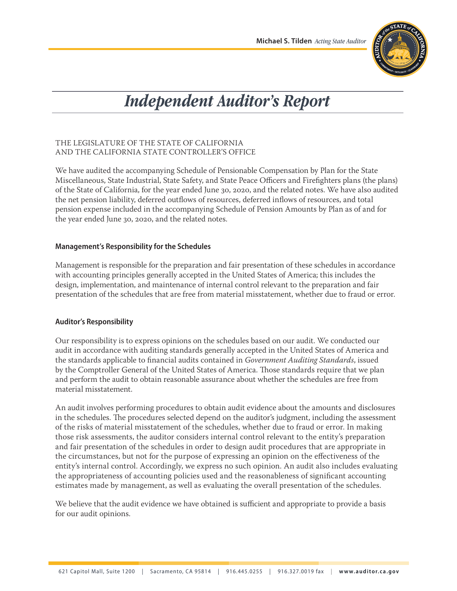

# *Independent Auditor's Report*

## THE LEGISLATURE OF THE STATE OF CALIFORNIA AND THE CALIFORNIA STATE CONTROLLER'S OFFICE

We have audited the accompanying Schedule of Pensionable Compensation by Plan for the State Miscellaneous, State Industrial, State Safety, and State Peace Officers and Firefighters plans (the plans) of the State of California, for the year ended June 30, 2020, and the related notes. We have also audited the net pension liability, deferred outflows of resources, deferred inflows of resources, and total pension expense included in the accompanying Schedule of Pension Amounts by Plan as of and for the year ended June 30, 2020, and the related notes.

# **Management's Responsibility for the Schedules**

Management is responsible for the preparation and fair presentation of these schedules in accordance with accounting principles generally accepted in the United States of America; this includes the design, implementation, and maintenance of internal control relevant to the preparation and fair presentation of the schedules that are free from material misstatement, whether due to fraud or error.

## **Auditor's Responsibility**

Our responsibility is to express opinions on the schedules based on our audit. We conducted our audit in accordance with auditing standards generally accepted in the United States of America and the standards applicable to financial audits contained in *Government Auditing Standards*, issued by the Comptroller General of the United States of America. Those standards require that we plan and perform the audit to obtain reasonable assurance about whether the schedules are free from material misstatement.

An audit involves performing procedures to obtain audit evidence about the amounts and disclosures in the schedules. The procedures selected depend on the auditor's judgment, including the assessment of the risks of material misstatement of the schedules, whether due to fraud or error. In making those risk assessments, the auditor considers internal control relevant to the entity's preparation and fair presentation of the schedules in order to design audit procedures that are appropriate in the circumstances, but not for the purpose of expressing an opinion on the effectiveness of the entity's internal control. Accordingly, we express no such opinion. An audit also includes evaluating the appropriateness of accounting policies used and the reasonableness of significant accounting estimates made by management, as well as evaluating the overall presentation of the schedules.

We believe that the audit evidence we have obtained is sufficient and appropriate to provide a basis for our audit opinions.